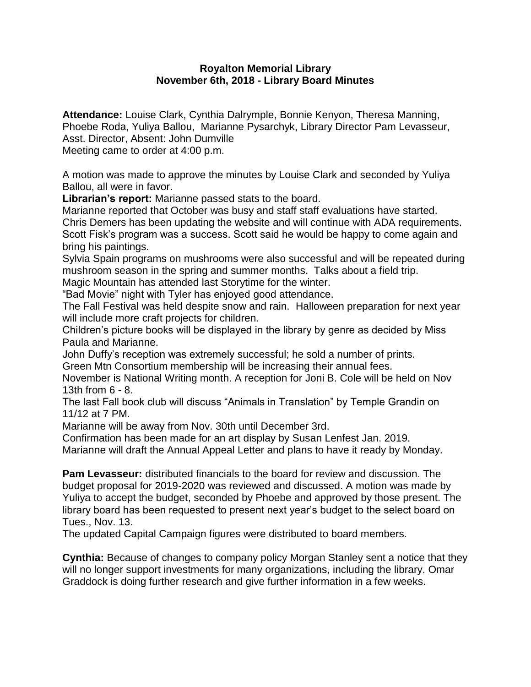## **Royalton Memorial Library November 6th, 2018 - Library Board Minutes**

**Attendance:** Louise Clark, Cynthia Dalrymple, Bonnie Kenyon, Theresa Manning, Phoebe Roda, Yuliya Ballou, Marianne Pysarchyk, Library Director Pam Levasseur, Asst. Director, Absent: John Dumville Meeting came to order at 4:00 p.m.

A motion was made to approve the minutes by Louise Clark and seconded by Yuliya Ballou, all were in favor.

**Librarian's report:** Marianne passed stats to the board.

Marianne reported that October was busy and staff staff evaluations have started. Chris Demers has been updating the website and will continue with ADA requirements. Scott Fisk's program was a success. Scott said he would be happy to come again and bring his paintings.

Sylvia Spain programs on mushrooms were also successful and will be repeated during mushroom season in the spring and summer months. Talks about a field trip.

Magic Mountain has attended last Storytime for the winter.

"Bad Movie" night with Tyler has enjoyed good attendance.

The Fall Festival was held despite snow and rain. Halloween preparation for next year will include more craft projects for children.

Children's picture books will be displayed in the library by genre as decided by Miss Paula and Marianne.

John Duffy's reception was extremely successful; he sold a number of prints.

Green Mtn Consortium membership will be increasing their annual fees.

November is National Writing month. A reception for Joni B. Cole will be held on Nov 13th from 6 - 8.

The last Fall book club will discuss "Animals in Translation" by Temple Grandin on 11/12 at 7 PM.

Marianne will be away from Nov. 30th until December 3rd.

Confirmation has been made for an art display by Susan Lenfest Jan. 2019.

Marianne will draft the Annual Appeal Letter and plans to have it ready by Monday.

**Pam Levasseur:** distributed financials to the board for review and discussion. The budget proposal for 2019-2020 was reviewed and discussed. A motion was made by Yuliya to accept the budget, seconded by Phoebe and approved by those present. The library board has been requested to present next year's budget to the select board on Tues., Nov. 13.

The updated Capital Campaign figures were distributed to board members.

**Cynthia:** Because of changes to company policy Morgan Stanley sent a notice that they will no longer support investments for many organizations, including the library. Omar Graddock is doing further research and give further information in a few weeks.